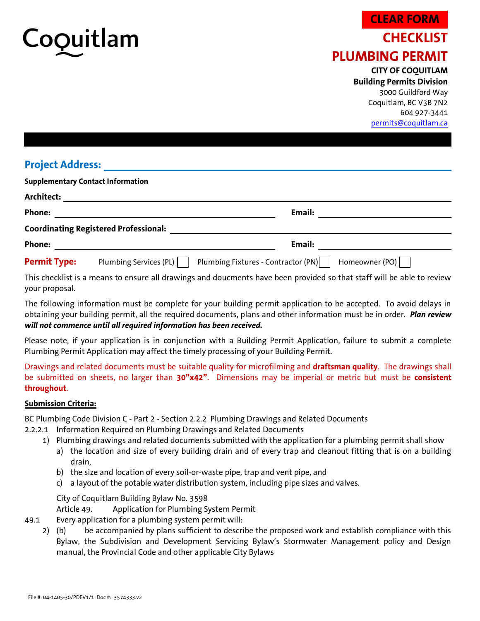

## **CHECKLIST** PLUMBING PERMIT **CLEAR FORM**

CITY OF COQUITLAM Building Permits Division 3000 Guildford Way Coquitlam, BC V3B 7N2 604 927-3441

permits@coquitlam.ca

## Project Address:

|                                              | <b>Supplementary Contact Information</b>                                        |  |  |  |  |  |  |  |
|----------------------------------------------|---------------------------------------------------------------------------------|--|--|--|--|--|--|--|
| Architect:                                   |                                                                                 |  |  |  |  |  |  |  |
| <b>Phone:</b>                                | Email:                                                                          |  |  |  |  |  |  |  |
| <b>Coordinating Registered Professional:</b> |                                                                                 |  |  |  |  |  |  |  |
| Phone:                                       | Email:                                                                          |  |  |  |  |  |  |  |
| <b>Permit Type:</b>                          | Plumbing Fixtures - Contractor (PN)<br>Homeowner (PO)<br>Plumbing Services (PL) |  |  |  |  |  |  |  |
|                                              |                                                                                 |  |  |  |  |  |  |  |

This checklist is a means to ensure all drawings and doucments have been provided so that staff will be able to review your proposal.

The following information must be complete for your building permit application to be accepted. To avoid delays in obtaining your building permit, all the required documents, plans and other information must be in order. Plan review will not commence until all required information has been received.

Please note, if your application is in conjunction with a Building Permit Application, failure to submit a complete Plumbing Permit Application may affect the timely processing of your Building Permit.

Drawings and related documents must be suitable quality for microfilming and draftsman quality. The drawings shall be submitted on sheets, no larger than 30"x42". Dimensions may be imperial or metric but must be consistent throughout.

## Submission Criteria:

BC Plumbing Code Division C - Part 2 - Section 2.2.2 Plumbing Drawings and Related Documents

- 2.2.2.1 Information Required on Plumbing Drawings and Related Documents
	- 1) Plumbing drawings and related documents submitted with the application for a plumbing permit shall show
		- a) the location and size of every building drain and of every trap and cleanout fitting that is on a building drain,
			- b) the size and location of every soil-or-waste pipe, trap and vent pipe, and
			- c) a layout of the potable water distribution system, including pipe sizes and valves.

City of Coquitlam Building Bylaw No. 3598

Article 49. Application for Plumbing System Permit

- 49.1 Every application for a plumbing system permit will:
	- 2) (b) be accompanied by plans sufficient to describe the proposed work and establish compliance with this Bylaw, the Subdivision and Development Servicing Bylaw's Stormwater Management policy and Design manual, the Provincial Code and other applicable City Bylaws